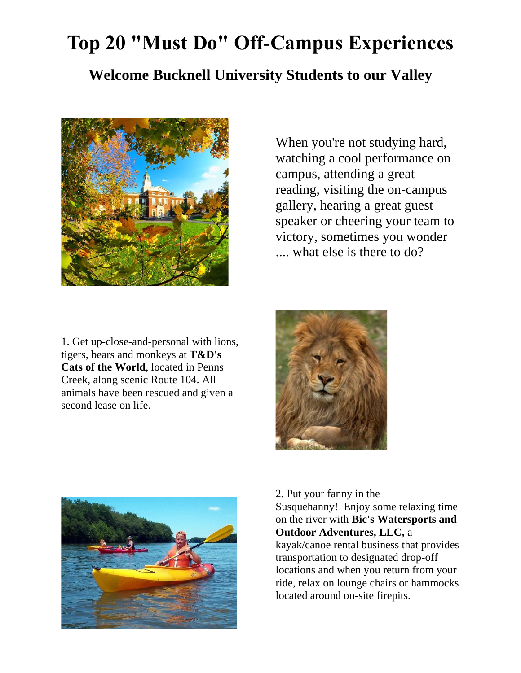## **Top 20 "Must Do" Off-Campus Experiences**

## **Welcome Bucknell University Students to our Valley**



When you're not studying hard, watching a cool performance on campus, attending a great reading, visiting the on-campus gallery, hearing a great guest speaker or cheering your team to victory, sometimes you wonder .... what else is there to do?

1. Get up-close-and-personal with lions, tigers, bears and monkeys at **[T&D's](http://www.tdscats.com/)  [Cats of the World](http://www.tdscats.com/)**, located in Penns Creek, along scenic Route 104. All animals have been rescued and given a second lease on life.





2. Put your fanny in the

Susquehanny! Enjoy some relaxing time on the river with **[Bic's Watersports and](https://www.bicswatersports.com/)  [Outdoor Adventures, LLC,](https://www.bicswatersports.com/)** a kayak/canoe rental business that provides transportation to designated drop-off locations and when you return from your ride, relax on lounge chairs or hammocks located around on-site firepits.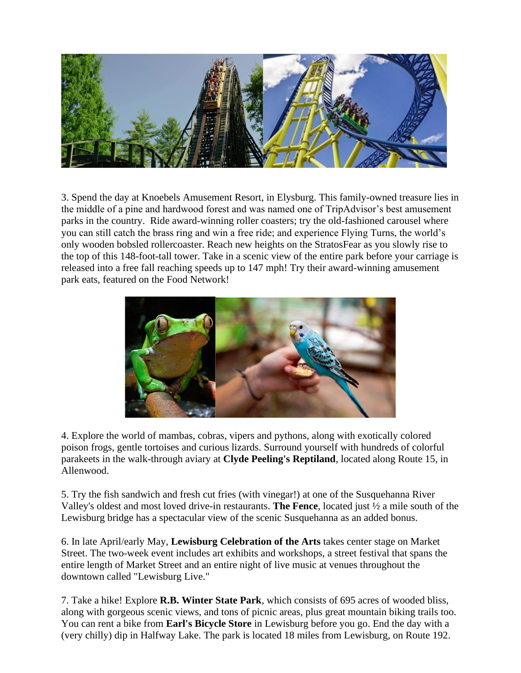

3. Spend the day at Knoebels Amusement Resort, in Elysburg. This family-owned treasure lies in the middle of a pine and hardwood forest and was named one of TripAdvisor's best amusement parks in the country. Ride award-winning roller coasters; try the old-fashioned carousel where you can still catch the brass ring and win a free ride; and experience Flying Turns, the world's only wooden bobsled rollercoaster. Reach new heights on the StratosFear as you slowly rise to the top of this 148-foot-tall tower. Take in a scenic view of the entire park before your carriage is released into a free fall reaching speeds up to 147 mph! Try their award-winning amusement park eats, featured on the Food Network!



4. Explore the world of mambas, cobras, vipers and pythons, along with exotically colored poison frogs, gentle tortoises and curious lizards. Surround yourself with hundreds of colorful parakeets in the walk-through aviary at **[Clyde Peeling's Reptiland](http://reptiland.com/)**, located along Route 15, in Allenwood.

5. Try the fish sandwich and fresh cut fries (with vinegar!) at one of the Susquehanna River Valley's oldest and most loved drive-in restaurants. **[The Fence](http://www.thefencedrive-in.com/)**, located just ½ a mile south of the Lewisburg bridge has a spectacular view of the scenic Susquehanna as an added bonus.

6. In late April/early May, **[Lewisburg Celebration of the Arts](http://www.lewisburgartscouncil.com/)** takes center stage on Market Street. The two-week event includes art exhibits and workshops, a street festival that spans the entire length of Market Street and an entire night of live music at venues throughout the downtown called "Lewisburg Live."

7. Take a hike! Explore **[R.B. Winter State Park](http://www.dcnr.state.pa.us/stateparks/findapark/raymondbwinter/index.htm)**, which consists of 695 acres of wooded bliss, along with gorgeous scenic views, and tons of picnic areas, plus great mountain biking trails too. You can rent a bike from **[Earl's Bicycle Store](http://www.earlsbicyclestore.com/)** in Lewisburg before you go. End the day with a (very chilly) dip in Halfway Lake. The park is located 18 miles from Lewisburg, on Route 192.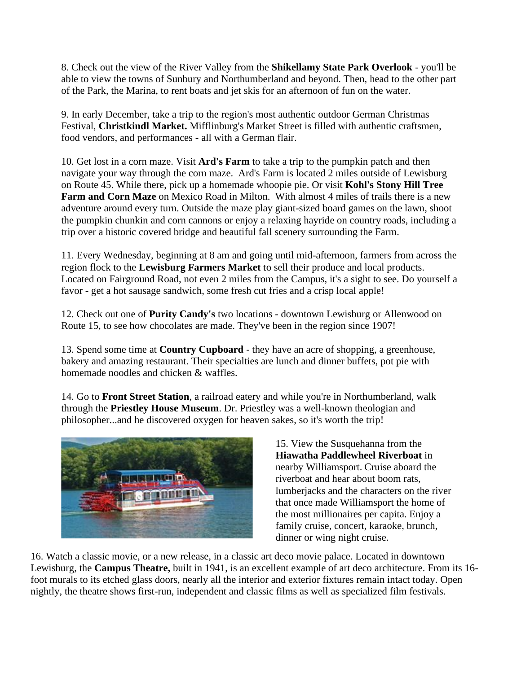8. Check out the view of the River Valley from the **[Shikellamy State Park Overlook](http://www.dcnr.state.pa.us/stateparks/findapark/shikellamy/index.htm)** - you'll be able to view the towns of Sunbury and Northumberland and beyond. Then, head to the other part of the Park, the Marina, to rent boats and jet skis for an afternoon of fun on the water.

9. In early December, take a trip to the region's most authentic outdoor German Christmas Festival, **[Christkindl Market.](http://www.mifflinburgchristkindlmarket.com/)** Mifflinburg's Market Street is filled with authentic craftsmen, food vendors, and performances - all with a German flair.

10. Get lost in a corn maze. Visit **Ard's Farm** to take a trip to the pumpkin patch and then navigate your way through the corn maze. Ard's Farm is located 2 miles outside of Lewisburg on Route 45. While there, pick up a homemade whoopie pie. Or visit **Kohl's Stony Hill Tree Farm and Corn Maze** on Mexico Road in Milton. With almost 4 miles of trails there is a new adventure around every turn. Outside the maze play giant-sized board games on the lawn, shoot the pumpkin chunkin and corn cannons or enjoy a relaxing hayride on country roads, including a trip over a historic covered bridge and beautiful fall scenery surrounding the Farm.

11. Every Wednesday, beginning at 8 am and going until mid-afternoon, farmers from across the region flock to the **Lewisburg Farmers Market** to sell their produce and local products. Located on Fairground Road, not even 2 miles from the Campus, it's a sight to see. Do yourself a favor - get a hot sausage sandwich, some fresh cut fries and a crisp local apple!

12. Check out one of **[Purity Candy's](http://www.puritycandy.com/)** two locations - downtown Lewisburg or Allenwood on Route 15, to see how chocolates are made. They've been in the region since 1907!

13. Spend some time at **[Country Cupboard](http://www.countrycupboardinc.com/)** - they have an acre of shopping, a greenhouse, bakery and amazing restaurant. Their specialties are lunch and dinner buffets, pot pie with homemade noodles and chicken & waffles.

14. Go to **[Front Street Station](http://www.frontstreetstation.com/)**, a railroad eatery and while you're in Northumberland, walk through the **[Priestley House Museum](http://www.josephpriestleyhouse.org/)**. Dr. Priestley was a well-known theologian and philosopher...and he discovered oxygen for heaven sakes, so it's worth the trip!



15. View the Susquehanna from the **[Hiawatha Paddlewheel Riverboat](http://www.ridehiawatha.com/)** in nearby Williamsport. Cruise aboard the riverboat and hear about boom rats, lumberjacks and the characters on the river that once made Williamsport the home of the most millionaires per capita. Enjoy a family cruise, concert, karaoke, brunch, dinner or wing night cruise.

16. Watch a classic movie, or a new release, in a classic art deco movie palace. Located in downtown Lewisburg, the **[Campus Theatre,](http://www.campustheatre.org/)** built in 1941, is an excellent example of art deco architecture. From its 16 foot murals to its etched glass doors, nearly all the interior and exterior fixtures remain intact today. Open nightly, the theatre shows first-run, independent and classic films as well as specialized film festivals.